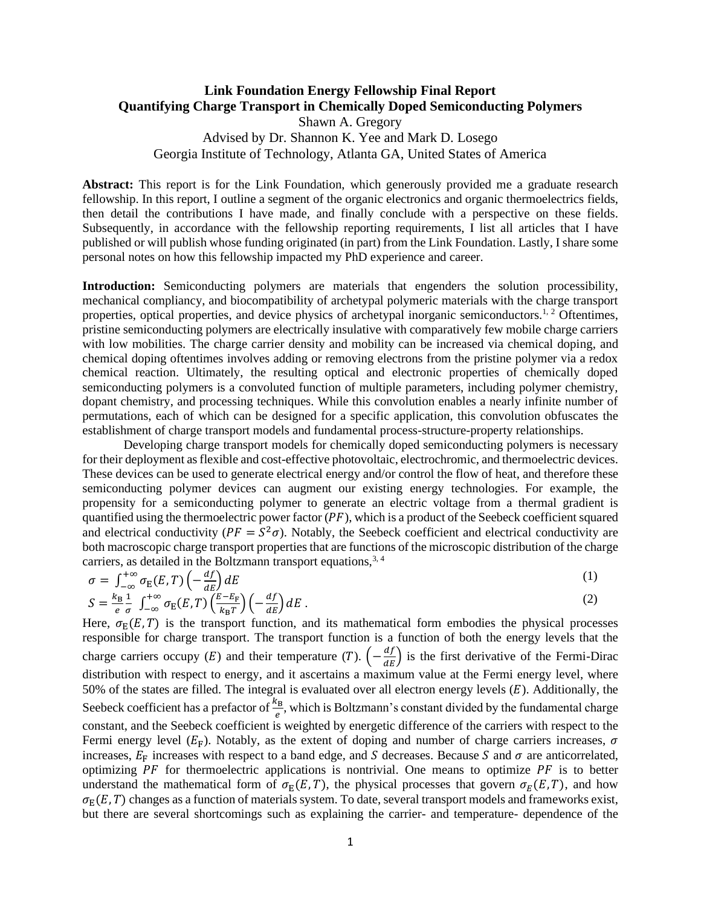### **Link Foundation Energy Fellowship Final Report Quantifying Charge Transport in Chemically Doped Semiconducting Polymers**

Shawn A. Gregory Advised by Dr. Shannon K. Yee and Mark D. Losego Georgia Institute of Technology, Atlanta GA, United States of America

**Abstract:** This report is for the Link Foundation, which generously provided me a graduate research fellowship. In this report, I outline a segment of the organic electronics and organic thermoelectrics fields, then detail the contributions I have made, and finally conclude with a perspective on these fields. Subsequently, in accordance with the fellowship reporting requirements, I list all articles that I have published or will publish whose funding originated (in part) from the Link Foundation. Lastly, I share some personal notes on how this fellowship impacted my PhD experience and career.

**Introduction:** Semiconducting polymers are materials that engenders the solution processibility, mechanical compliancy, and biocompatibility of archetypal polymeric materials with the charge transport properties, optical properties, and device physics of archetypal inorganic semiconductors.<sup>1, 2</sup> Oftentimes, pristine semiconducting polymers are electrically insulative with comparatively few mobile charge carriers with low mobilities. The charge carrier density and mobility can be increased via chemical doping, and chemical doping oftentimes involves adding or removing electrons from the pristine polymer via a redox chemical reaction. Ultimately, the resulting optical and electronic properties of chemically doped semiconducting polymers is a convoluted function of multiple parameters, including polymer chemistry, dopant chemistry, and processing techniques. While this convolution enables a nearly infinite number of permutations, each of which can be designed for a specific application, this convolution obfuscates the establishment of charge transport models and fundamental process-structure-property relationships.

Developing charge transport models for chemically doped semiconducting polymers is necessary for their deployment asflexible and cost-effective photovoltaic, electrochromic, and thermoelectric devices. These devices can be used to generate electrical energy and/or control the flow of heat, and therefore these semiconducting polymer devices can augment our existing energy technologies. For example, the propensity for a semiconducting polymer to generate an electric voltage from a thermal gradient is quantified using the thermoelectric power factor  $(PF)$ , which is a product of the Seebeck coefficient squared and electrical conductivity ( $PF = S^2\sigma$ ). Notably, the Seebeck coefficient and electrical conductivity are both macroscopic charge transport properties that are functions of the microscopic distribution of the charge carriers, as detailed in the Boltzmann transport equations,  $3, 4$ 

$$
\sigma = \int_{-\infty}^{+\infty} \sigma_{E}(E, T) \left( -\frac{df}{dE} \right) dE
$$
  
\n
$$
S = \frac{k_{B}}{e} \frac{1}{\sigma} \int_{-\infty}^{+\infty} \sigma_{E}(E, T) \left( \frac{E - E_{F}}{k_{B}T} \right) \left( -\frac{df}{dE} \right) dE
$$
 (1)

Here,  $\sigma_E(E, T)$  is the transport function, and its mathematical form embodies the physical processes responsible for charge transport. The transport function is a function of both the energy levels that the charge carriers occupy (E) and their temperature (T).  $\left(-\frac{df}{dE}\right)$  is the first derivative of the Fermi-Dirac distribution with respect to energy, and it ascertains a maximum value at the Fermi energy level, where 50% of the states are filled. The integral is evaluated over all electron energy levels  $(E)$ . Additionally, the Seebeck coefficient has a prefactor of  $\frac{k_B}{e}$ , which is Boltzmann's constant divided by the fundamental charge constant, and the Seebeck coefficient is weighted by energetic difference of the carriers with respect to the Fermi energy level  $(E_F)$ . Notably, as the extent of doping and number of charge carriers increases,  $\sigma$ increases,  $E_F$  increases with respect to a band edge, and S decreases. Because S and  $\sigma$  are anticorrelated, optimizing  $PF$  for thermoelectric applications is nontrivial. One means to optimize  $PF$  is to better understand the mathematical form of  $\sigma_E(E, T)$ , the physical processes that govern  $\sigma_E(E, T)$ , and how  $\sigma_{\rm E}(E, T)$  changes as a function of materials system. To date, several transport models and frameworks exist, but there are several shortcomings such as explaining the carrier- and temperature- dependence of the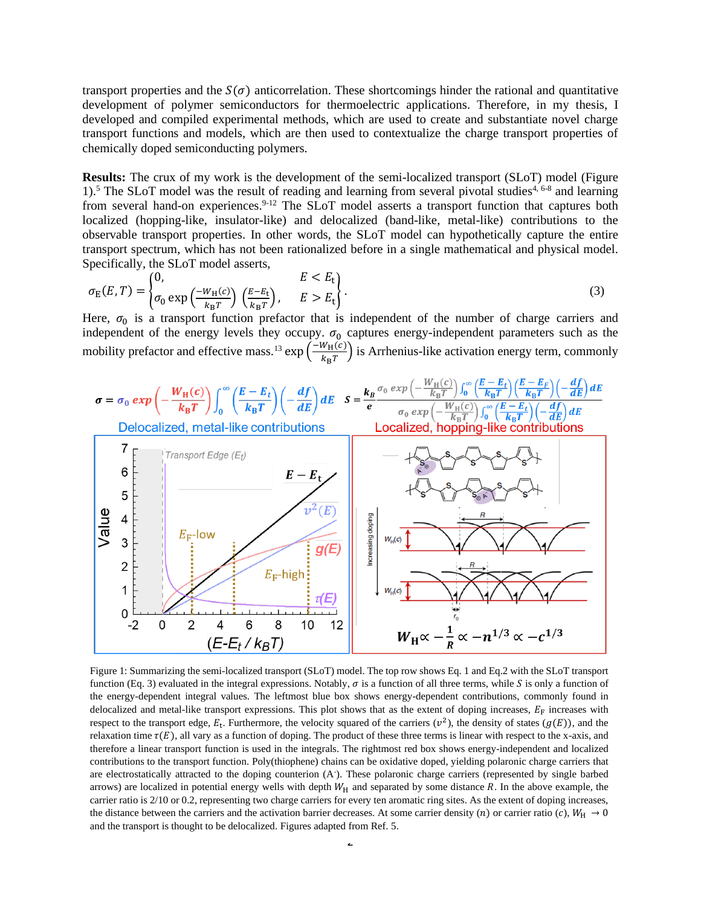transport properties and the  $S(\sigma)$  anticorrelation. These shortcomings hinder the rational and quantitative development of polymer semiconductors for thermoelectric applications. Therefore, in my thesis, I developed and compiled experimental methods, which are used to create and substantiate novel charge transport functions and models, which are then used to contextualize the charge transport properties of chemically doped semiconducting polymers.

**Results:** The crux of my work is the development of the semi-localized transport (SLoT) model (Figure 1).<sup>5</sup> The SLoT model was the result of reading and learning from several pivotal studies<sup>4, 6-8</sup> and learning from several hand-on experiences.<sup>9-12</sup> The SLoT model asserts a transport function that captures both localized (hopping-like, insulator-like) and delocalized (band-like, metal-like) contributions to the observable transport properties. In other words, the SLoT model can hypothetically capture the entire transport spectrum, which has not been rationalized before in a single mathematical and physical model. Specifically, the SLoT model asserts,

$$
\sigma_{\rm E}(E,T) = \begin{cases} 0, & E < E_{\rm t} \\ \sigma_0 \exp\left(\frac{-W_{\rm H}(c)}{k_{\rm B}T}\right) \left(\frac{E-E_{\rm t}}{k_{\rm B}T}\right), & E > E_{\rm t} \end{cases} \tag{3}
$$

Here,  $\sigma_0$  is a transport function prefactor that is independent of the number of charge carriers and independent of the energy levels they occupy.  $\sigma_0$  captures energy-independent parameters such as the mobility prefactor and effective mass.<sup>13</sup> exp  $\left(\frac{-W_H(c)}{h_T}\right)$  $\frac{W_{\text{H}}(C)}{R_{\text{B}}T}$  is Arrhenius-like activation energy term, commonly



Figure 1: Summarizing the semi-localized transport (SLoT) model. The top row shows Eq. 1 and Eq.2 with the SLoT transport function (Eq. 3) evaluated in the integral expressions. Notably,  $\sigma$  is a function of all three terms, while S is only a function of the energy-dependent integral values. The leftmost blue box shows energy-dependent contributions, commonly found in delocalized and metal-like transport expressions. This plot shows that as the extent of doping increases,  $E_F$  increases with respect to the transport edge,  $E_t$ . Furthermore, the velocity squared of the carriers  $(v^2)$ , the density of states  $(g(E))$ , and the relaxation time  $\tau(E)$ , all vary as a function of doping. The product of these three terms is linear with respect to the x-axis, and therefore a linear transport function is used in the integrals. The rightmost red box shows energy-independent and localized contributions to the transport function. Poly(thiophene) chains can be oxidative doped, yielding polaronic charge carriers that are electrostatically attracted to the doping counterion (A- ). These polaronic charge carriers (represented by single barbed arrows) are localized in potential energy wells with depth  $W_H$  and separated by some distance  $R$ . In the above example, the carrier ratio is 2/10 or 0.2, representing two charge carriers for every ten aromatic ring sites. As the extent of doping increases, the distance between the carriers and the activation barrier decreases. At some carrier density (*n*) or carrier ratio (*c*),  $W_H \rightarrow 0$ and the transport is thought to be delocalized. Figures adapted from Ref. 5.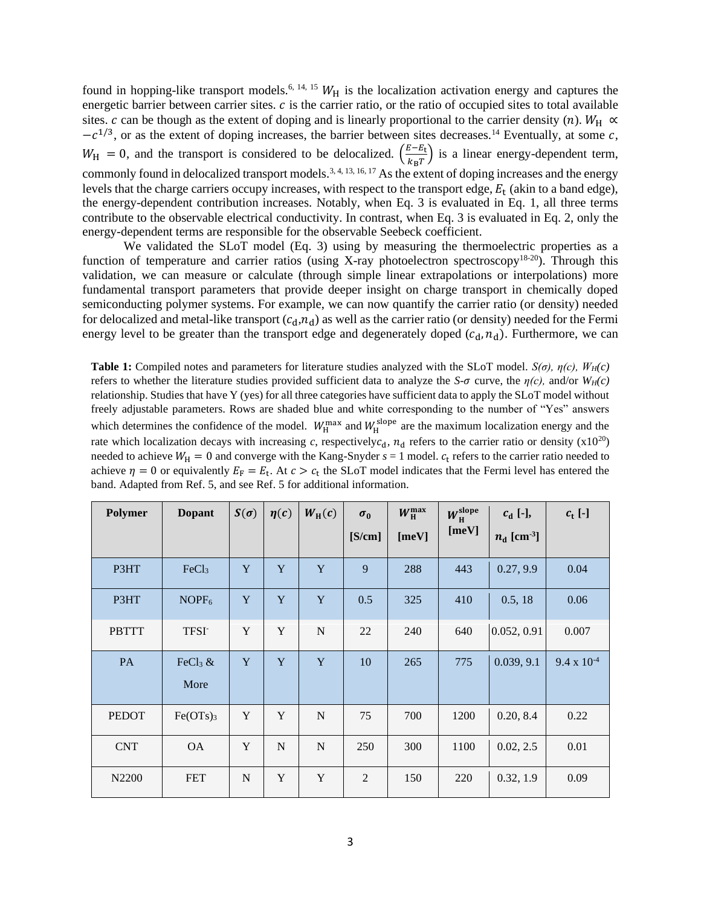found in hopping-like transport models.<sup>6, 14, 15</sup>  $W_H$  is the localization activation energy and captures the energetic barrier between carrier sites.  $c$  is the carrier ratio, or the ratio of occupied sites to total available sites. c can be though as the extent of doping and is linearly proportional to the carrier density (n).  $W_H \propto$  $-c^{1/3}$ , or as the extent of doping increases, the barrier between sites decreases.<sup>14</sup> Eventually, at some c,  $W_{\rm H} = 0$ , and the transport is considered to be delocalized.  $\left(\frac{E - E_{\rm t}}{k_{\rm B} T}\right)$  $\frac{S-E_t}{k_B T}$ ) is a linear energy-dependent term, commonly found in delocalized transport models.<sup>3, 4, 13, 16, 17</sup> As the extent of doping increases and the energy levels that the charge carriers occupy increases, with respect to the transport edge,  $E_t$  (akin to a band edge), the energy-dependent contribution increases. Notably, when Eq. 3 is evaluated in Eq. 1, all three terms contribute to the observable electrical conductivity. In contrast, when Eq. 3 is evaluated in Eq. 2, only the energy-dependent terms are responsible for the observable Seebeck coefficient.

We validated the SLoT model (Eq. 3) using by measuring the thermoelectric properties as a function of temperature and carrier ratios (using X-ray photoelectron spectroscopy<sup>18-20</sup>). Through this validation, we can measure or calculate (through simple linear extrapolations or interpolations) more fundamental transport parameters that provide deeper insight on charge transport in chemically doped semiconducting polymer systems. For example, we can now quantify the carrier ratio (or density) needed for delocalized and metal-like transport  $(c_d, n_d)$  as well as the carrier ratio (or density) needed for the Fermi energy level to be greater than the transport edge and degenerately doped  $(c_d, n_d)$ . Furthermore, we can

**Table 1:** Compiled notes and parameters for literature studies analyzed with the SLoT model. *S(σ), η(c), WH(c)*  refers to whether the literature studies provided sufficient data to analyze the *S*- $\sigma$  curve, the  $\eta(c)$ , and/or  $W_H(c)$ relationship. Studies that have Y (yes) for all three categories have sufficient data to apply the SLoT model without freely adjustable parameters. Rows are shaded blue and white corresponding to the number of "Yes" answers which determines the confidence of the model.  $W_H^{\text{max}}$  and  $W_H^{\text{slope}}$  are the maximum localization energy and the rate which localization decays with increasing *c*, respectively $c_d$ ,  $n_d$  refers to the carrier ratio or density (x10<sup>20</sup>) needed to achieve  $W_H = 0$  and converge with the Kang-Snyder  $s = 1$  model.  $c_t$  refers to the carrier ratio needed to achieve  $\eta = 0$  or equivalently  $E_F = E_t$ . At  $c > c_t$  the SLoT model indicates that the Fermi level has entered the band. Adapted from Ref. 5, and see Ref. 5 for additional information.

| Polymer      | <b>Dopant</b>                 | $S(\sigma)$ | $\eta(c)$ | $W_{\rm H}(c)$ | $\sigma_0$<br>[S/cm] | $W_{\rm H}^{\rm max}$<br>[meV] | $W_{\rm H}^{\rm slope}$<br>[meV] | $c_d$ [-],<br>$n_{\rm d}$ [cm <sup>-3</sup> ] | $c_t$ [-]            |
|--------------|-------------------------------|-------------|-----------|----------------|----------------------|--------------------------------|----------------------------------|-----------------------------------------------|----------------------|
| P3HT         | FeCl <sub>3</sub>             | Y           | Y         | Y              | 9                    | 288                            | 443                              | 0.27, 9.9                                     | 0.04                 |
| P3HT         | NOPF <sub>6</sub>             | Y           | Y         | Y              | 0.5                  | 325                            | 410                              | 0.5, 18                                       | 0.06                 |
| <b>PBTTT</b> | <b>TFSI</b>                   | Y           | Y         | N              | 22                   | 240                            | 640                              | 0.052, 0.91                                   | 0.007                |
| PA           | FeCl <sub>3</sub> $&$<br>More | Y           | Y         | Y              | 10                   | 265                            | 775                              | 0.039, 9.1                                    | $9.4 \times 10^{-4}$ |
| <b>PEDOT</b> | $Fe(OTs)_{3}$                 | $\mathbf Y$ | Y         | N              | 75                   | 700                            | 1200                             | 0.20, 8.4                                     | 0.22                 |
| <b>CNT</b>   | <b>OA</b>                     | Y           | N         | $\mathbf N$    | 250                  | 300                            | 1100                             | 0.02, 2.5                                     | 0.01                 |
| N2200        | <b>FET</b>                    | $\mathbf N$ | Y         | Y              | $\overline{2}$       | 150                            | 220                              | 0.32, 1.9                                     | 0.09                 |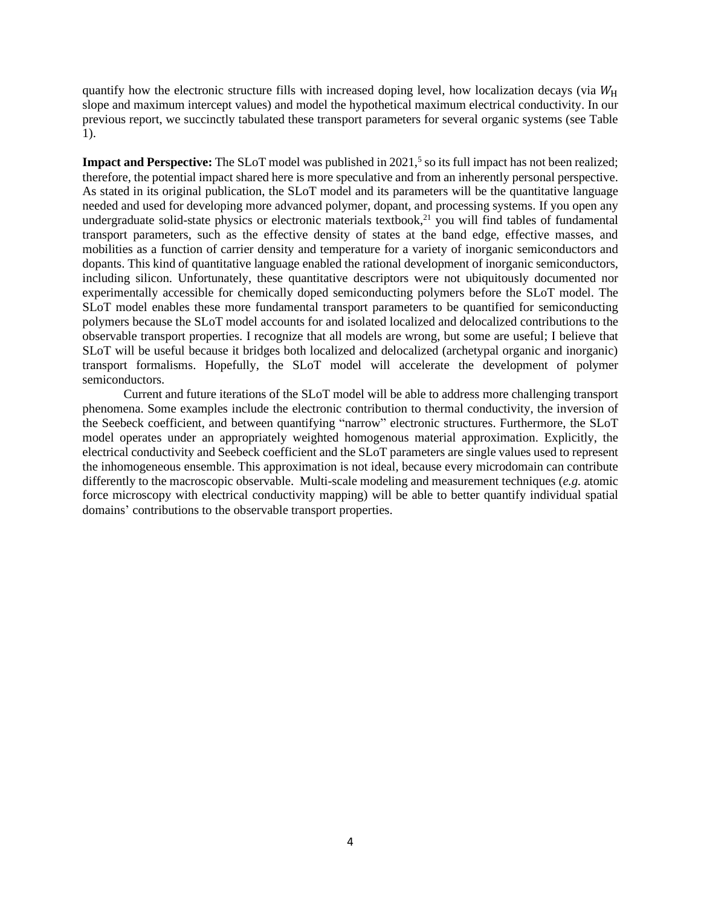quantify how the electronic structure fills with increased doping level, how localization decays (via  $W_H$ slope and maximum intercept values) and model the hypothetical maximum electrical conductivity. In our previous report, we succinctly tabulated these transport parameters for several organic systems (see Table 1).

**Impact and Perspective:** The SLoT model was published in 2021,<sup>5</sup> so its full impact has not been realized; therefore, the potential impact shared here is more speculative and from an inherently personal perspective. As stated in its original publication, the SLoT model and its parameters will be the quantitative language needed and used for developing more advanced polymer, dopant, and processing systems. If you open any undergraduate solid-state physics or electronic materials textbook, $^{21}$  you will find tables of fundamental transport parameters, such as the effective density of states at the band edge, effective masses, and mobilities as a function of carrier density and temperature for a variety of inorganic semiconductors and dopants. This kind of quantitative language enabled the rational development of inorganic semiconductors, including silicon. Unfortunately, these quantitative descriptors were not ubiquitously documented nor experimentally accessible for chemically doped semiconducting polymers before the SLoT model. The SLoT model enables these more fundamental transport parameters to be quantified for semiconducting polymers because the SLoT model accounts for and isolated localized and delocalized contributions to the observable transport properties. I recognize that all models are wrong, but some are useful; I believe that SLoT will be useful because it bridges both localized and delocalized (archetypal organic and inorganic) transport formalisms. Hopefully, the SLoT model will accelerate the development of polymer semiconductors.

Current and future iterations of the SLoT model will be able to address more challenging transport phenomena. Some examples include the electronic contribution to thermal conductivity, the inversion of the Seebeck coefficient, and between quantifying "narrow" electronic structures. Furthermore, the SLoT model operates under an appropriately weighted homogenous material approximation. Explicitly, the electrical conductivity and Seebeck coefficient and the SLoT parameters are single values used to represent the inhomogeneous ensemble. This approximation is not ideal, because every microdomain can contribute differently to the macroscopic observable. Multi-scale modeling and measurement techniques (*e.g.* atomic force microscopy with electrical conductivity mapping) will be able to better quantify individual spatial domains' contributions to the observable transport properties.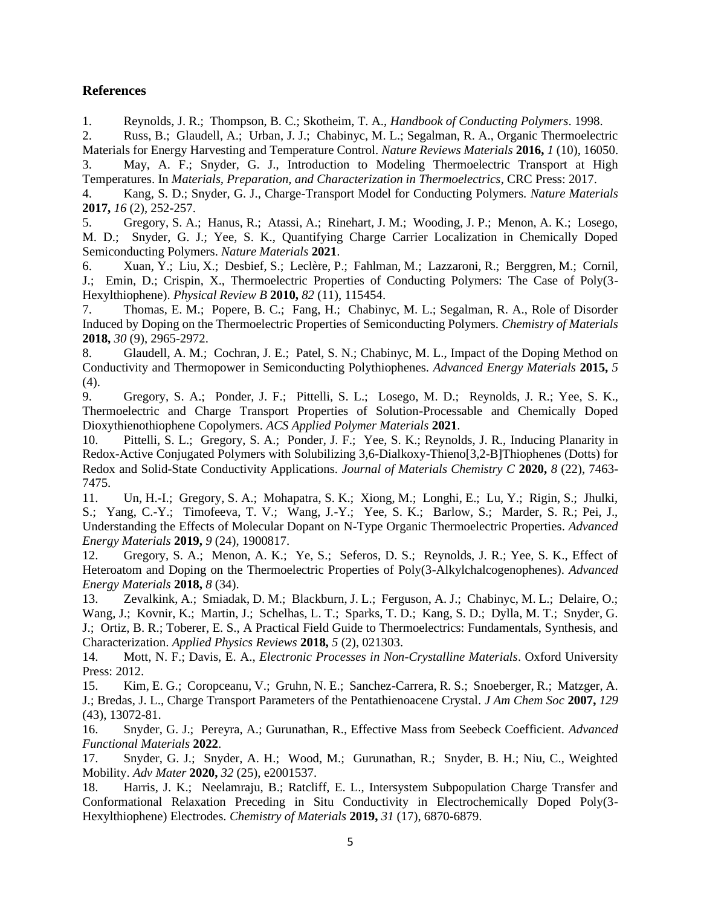# **References**

1. Reynolds, J. R.; Thompson, B. C.; Skotheim, T. A., *Handbook of Conducting Polymers*. 1998.

2. Russ, B.; Glaudell, A.; Urban, J. J.; Chabinyc, M. L.; Segalman, R. A., Organic Thermoelectric Materials for Energy Harvesting and Temperature Control. *Nature Reviews Materials* **2016,** *1* (10), 16050.

3. May, A. F.; Snyder, G. J., Introduction to Modeling Thermoelectric Transport at High Temperatures. In *Materials, Preparation, and Characterization in Thermoelectrics*, CRC Press: 2017.

4. Kang, S. D.; Snyder, G. J., Charge-Transport Model for Conducting Polymers. *Nature Materials*  **2017,** *16* (2), 252-257.

5. Gregory, S. A.; Hanus, R.; Atassi, A.; Rinehart, J. M.; Wooding, J. P.; Menon, A. K.; Losego, M. D.; Snyder, G. J.; Yee, S. K., Quantifying Charge Carrier Localization in Chemically Doped Semiconducting Polymers. *Nature Materials* **2021**.

6. Xuan, Y.; Liu, X.; Desbief, S.; Leclère, P.; Fahlman, M.; Lazzaroni, R.; Berggren, M.; Cornil, J.; Emin, D.; Crispin, X., Thermoelectric Properties of Conducting Polymers: The Case of Poly(3- Hexylthiophene). *Physical Review B* **2010,** *82* (11), 115454.

7. Thomas, E. M.; Popere, B. C.; Fang, H.; Chabinyc, M. L.; Segalman, R. A., Role of Disorder Induced by Doping on the Thermoelectric Properties of Semiconducting Polymers. *Chemistry of Materials*  **2018,** *30* (9), 2965-2972.

8. Glaudell, A. M.; Cochran, J. E.; Patel, S. N.; Chabinyc, M. L., Impact of the Doping Method on Conductivity and Thermopower in Semiconducting Polythiophenes. *Advanced Energy Materials* **2015,** *5* (4).

9. Gregory, S. A.; Ponder, J. F.; Pittelli, S. L.; Losego, M. D.; Reynolds, J. R.; Yee, S. K., Thermoelectric and Charge Transport Properties of Solution-Processable and Chemically Doped Dioxythienothiophene Copolymers. *ACS Applied Polymer Materials* **2021**.

10. Pittelli, S. L.; Gregory, S. A.; Ponder, J. F.; Yee, S. K.; Reynolds, J. R., Inducing Planarity in Redox-Active Conjugated Polymers with Solubilizing 3,6-Dialkoxy-Thieno[3,2-B]Thiophenes (Dotts) for Redox and Solid-State Conductivity Applications. *Journal of Materials Chemistry C* **2020,** *8* (22), 7463- 7475.

11. Un, H.-I.; Gregory, S. A.; Mohapatra, S. K.; Xiong, M.; Longhi, E.; Lu, Y.; Rigin, S.; Jhulki, S.; Yang, C.-Y.; Timofeeva, T. V.; Wang, J.-Y.; Yee, S. K.; Barlow, S.; Marder, S. R.; Pei, J., Understanding the Effects of Molecular Dopant on N-Type Organic Thermoelectric Properties. *Advanced Energy Materials* **2019,** *9* (24), 1900817.

12. Gregory, S. A.; Menon, A. K.; Ye, S.; Seferos, D. S.; Reynolds, J. R.; Yee, S. K., Effect of Heteroatom and Doping on the Thermoelectric Properties of Poly(3-Alkylchalcogenophenes). *Advanced Energy Materials* **2018,** *8* (34).

13. Zevalkink, A.; Smiadak, D. M.; Blackburn, J. L.; Ferguson, A. J.; Chabinyc, M. L.; Delaire, O.; Wang, J.; Kovnir, K.; Martin, J.; Schelhas, L. T.; Sparks, T. D.; Kang, S. D.; Dylla, M. T.; Snyder, G. J.; Ortiz, B. R.; Toberer, E. S., A Practical Field Guide to Thermoelectrics: Fundamentals, Synthesis, and Characterization. *Applied Physics Reviews* **2018,** *5* (2), 021303.

14. Mott, N. F.; Davis, E. A., *Electronic Processes in Non-Crystalline Materials*. Oxford University Press: 2012.

15. Kim, E. G.; Coropceanu, V.; Gruhn, N. E.; Sanchez-Carrera, R. S.; Snoeberger, R.; Matzger, A. J.; Bredas, J. L., Charge Transport Parameters of the Pentathienoacene Crystal. *J Am Chem Soc* **2007,** *129* (43), 13072-81.

16. Snyder, G. J.; Pereyra, A.; Gurunathan, R., Effective Mass from Seebeck Coefficient. *Advanced Functional Materials* **2022**.

17. Snyder, G. J.; Snyder, A. H.; Wood, M.; Gurunathan, R.; Snyder, B. H.; Niu, C., Weighted Mobility. *Adv Mater* **2020,** *32* (25), e2001537.

18. Harris, J. K.; Neelamraju, B.; Ratcliff, E. L., Intersystem Subpopulation Charge Transfer and Conformational Relaxation Preceding in Situ Conductivity in Electrochemically Doped Poly(3- Hexylthiophene) Electrodes. *Chemistry of Materials* **2019,** *31* (17), 6870-6879.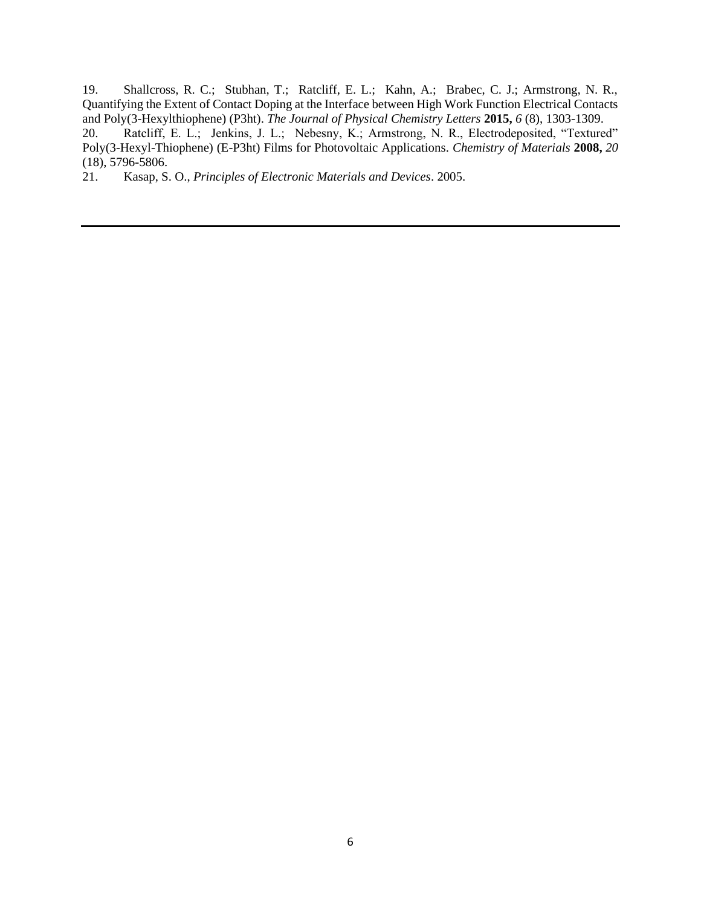19. Shallcross, R. C.; Stubhan, T.; Ratcliff, E. L.; Kahn, A.; Brabec, C. J.; Armstrong, N. R., Quantifying the Extent of Contact Doping at the Interface between High Work Function Electrical Contacts and Poly(3-Hexylthiophene) (P3ht). *The Journal of Physical Chemistry Letters* **2015,** *6* (8), 1303-1309.

20. Ratcliff, E. L.; Jenkins, J. L.; Nebesny, K.; Armstrong, N. R., Electrodeposited, "Textured" Poly(3-Hexyl-Thiophene) (E-P3ht) Films for Photovoltaic Applications. *Chemistry of Materials* **2008,** *20* (18), 5796-5806.

21. Kasap, S. O., *Principles of Electronic Materials and Devices*. 2005.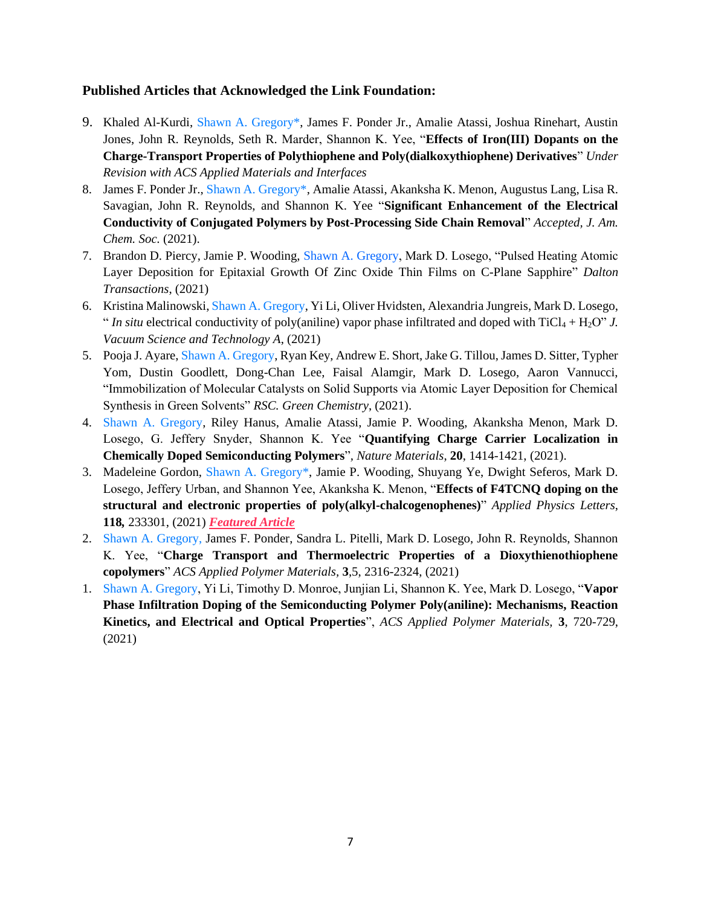### **Published Articles that Acknowledged the Link Foundation:**

- 9. Khaled Al-Kurdi, Shawn A. Gregory\*, James F. Ponder Jr., Amalie Atassi, Joshua Rinehart, Austin Jones, John R. Reynolds, Seth R. Marder, Shannon K. Yee, "**Effects of Iron(III) Dopants on the Charge-Transport Properties of Polythiophene and Poly(dialkoxythiophene) Derivatives**" *Under Revision with ACS Applied Materials and Interfaces*
- 8. James F. Ponder Jr., Shawn A. Gregory\*, Amalie Atassi, Akanksha K. Menon, Augustus Lang, Lisa R. Savagian, John R. Reynolds, and Shannon K. Yee "**Significant Enhancement of the Electrical Conductivity of Conjugated Polymers by Post-Processing Side Chain Removal**" *Accepted, J. Am. Chem. Soc.* (2021).
- 7. Brandon D. Piercy, Jamie P. Wooding, Shawn A. Gregory, Mark D. Losego, "Pulsed Heating Atomic Layer Deposition for Epitaxial Growth Of Zinc Oxide Thin Films on C-Plane Sapphire" *Dalton Transactions*, (2021)
- 6. Kristina Malinowski, Shawn A. Gregory, Yi Li, Oliver Hvidsten, Alexandria Jungreis, Mark D. Losego, " *In situ* electrical conductivity of poly(aniline) vapor phase infiltrated and doped with  $TiCl_4 + H_2O$ " *J. Vacuum Science and Technology A*, (2021)
- 5. Pooja J. Ayare, Shawn A. Gregory, Ryan Key, Andrew E. Short, Jake G. Tillou, James D. Sitter, Typher Yom, Dustin Goodlett, Dong-Chan Lee, Faisal Alamgir, Mark D. Losego, Aaron Vannucci, "Immobilization of Molecular Catalysts on Solid Supports via Atomic Layer Deposition for Chemical Synthesis in Green Solvents" *RSC. Green Chemistry*, (2021).
- 4. Shawn A. Gregory, Riley Hanus, Amalie Atassi, Jamie P. Wooding, Akanksha Menon, Mark D. Losego, G. Jeffery Snyder, Shannon K. Yee "**Quantifying Charge Carrier Localization in Chemically Doped Semiconducting Polymers**"*, Nature Materials*, **20**, 1414-1421, (2021).
- 3. Madeleine Gordon, Shawn A. Gregory\*, Jamie P. Wooding, Shuyang Ye, Dwight Seferos, Mark D. Losego, Jeffery Urban, and Shannon Yee, Akanksha K. Menon, "**Effects of F4TCNQ doping on the structural and electronic properties of poly(alkyl-chalcogenophenes)**" *Applied Physics Letters*, **118***,* 233301, (2021) *Featured Article*
- 2. Shawn A. Gregory, James F. Ponder, Sandra L. Pitelli, Mark D. Losego, John R. Reynolds, Shannon K. Yee, "**Charge Transport and Thermoelectric Properties of a Dioxythienothiophene copolymers**" *ACS Applied Polymer Materials,* **3**,5, 2316-2324, (2021)
- 1. Shawn A. Gregory, Yi Li, Timothy D. Monroe, Junjian Li, Shannon K. Yee, Mark D. Losego, "**Vapor Phase Infiltration Doping of the Semiconducting Polymer Poly(aniline): Mechanisms, Reaction Kinetics, and Electrical and Optical Properties**", *ACS Applied Polymer Materials,* **3**, 720-729, (2021)